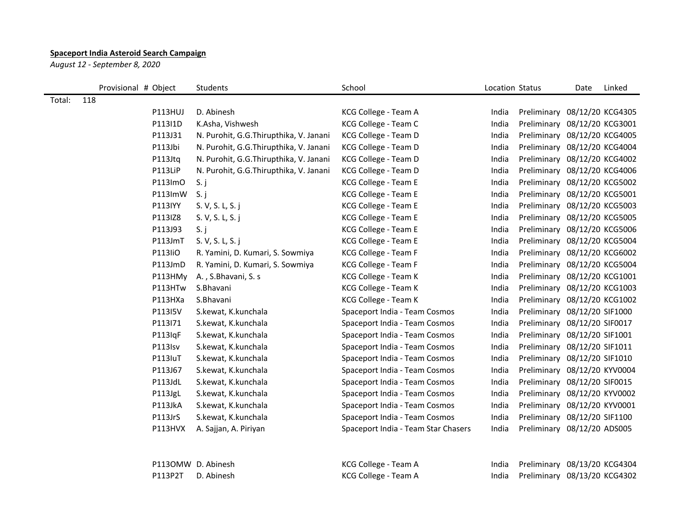## **Spaceport India Asteroid Search Campaign**

*August 12 - September 8, 2020*

|        | Provisional # Object | Students                               | School                              | Location Status |                              | Date | Linked |
|--------|----------------------|----------------------------------------|-------------------------------------|-----------------|------------------------------|------|--------|
| Total: | 118                  |                                        |                                     |                 |                              |      |        |
|        | P113HUJ              | D. Abinesh                             | KCG College - Team A                | India           | Preliminary 08/12/20 KCG4305 |      |        |
|        | P113I1D              | K.Asha, Vishwesh                       | KCG College - Team C                | India           | Preliminary 08/12/20 KCG3001 |      |        |
|        | P113J31              | N. Purohit, G.G.Thirupthika, V. Janani | KCG College - Team D                | India           | Preliminary 08/12/20 KCG4005 |      |        |
|        | P113Jbi              | N. Purohit, G.G.Thirupthika, V. Janani | KCG College - Team D                | India           | Preliminary 08/12/20 KCG4004 |      |        |
|        | P113Jtq              | N. Purohit, G.G.Thirupthika, V. Janani | KCG College - Team D                | India           | Preliminary 08/12/20 KCG4002 |      |        |
|        | P113LiP              | N. Purohit, G.G.Thirupthika, V. Janani | KCG College - Team D                | India           | Preliminary 08/12/20 KCG4006 |      |        |
|        | P113ImO              | S. j                                   | KCG College - Team E                | India           | Preliminary 08/12/20 KCG5002 |      |        |
|        | P113ImW              | S. j                                   | KCG College - Team E                | India           | Preliminary 08/12/20 KCG5001 |      |        |
|        | P113IYY              | S. V, S. L, S. j                       | KCG College - Team E                | India           | Preliminary 08/12/20 KCG5003 |      |        |
|        | P113IZ8              | S. V, S. L, S. j                       | KCG College - Team E                | India           | Preliminary 08/12/20 KCG5005 |      |        |
|        | P113J93              | S. j                                   | KCG College - Team E                | India           | Preliminary 08/12/20 KCG5006 |      |        |
|        | P113JmT              | S. V, S. L, S. j                       | KCG College - Team E                | India           | Preliminary 08/12/20 KCG5004 |      |        |
|        | P113liO              | R. Yamini, D. Kumari, S. Sowmiya       | KCG College - Team F                | India           | Preliminary 08/12/20 KCG6002 |      |        |
|        | P113JmD              | R. Yamini, D. Kumari, S. Sowmiya       | KCG College - Team F                | India           | Preliminary 08/12/20 KCG5004 |      |        |
|        | P113HMy              | A., S.Bhavani, S. s                    | KCG College - Team K                | India           | Preliminary 08/12/20 KCG1001 |      |        |
|        | P113HTw              | S.Bhavani                              | KCG College - Team K                | India           | Preliminary 08/12/20 KCG1003 |      |        |
|        | P113HXa              | S.Bhavani                              | KCG College - Team K                | India           | Preliminary 08/12/20 KCG1002 |      |        |
|        | P113I5V              | S.kewat, K.kunchala                    | Spaceport India - Team Cosmos       | India           | Preliminary 08/12/20 SIF1000 |      |        |
|        | P113I71              | S.kewat, K.kunchala                    | Spaceport India - Team Cosmos       | India           | Preliminary 08/12/20 SIF0017 |      |        |
|        | P113IqF              | S.kewat, K.kunchala                    | Spaceport India - Team Cosmos       | India           | Preliminary 08/12/20 SIF1001 |      |        |
|        | P113Isv              | S.kewat, K.kunchala                    | Spaceport India - Team Cosmos       | India           | Preliminary 08/12/20 SIF1011 |      |        |
|        | P113IuT              | S.kewat, K.kunchala                    | Spaceport India - Team Cosmos       | India           | Preliminary 08/12/20 SIF1010 |      |        |
|        | P113J67              | S.kewat, K.kunchala                    | Spaceport India - Team Cosmos       | India           | Preliminary 08/12/20 KYV0004 |      |        |
|        | P113JdL              | S.kewat, K.kunchala                    | Spaceport India - Team Cosmos       | India           | Preliminary 08/12/20 SIF0015 |      |        |
|        | P113JgL              | S.kewat, K.kunchala                    | Spaceport India - Team Cosmos       | India           | Preliminary 08/12/20 KYV0002 |      |        |
|        | P113JkA              | S.kewat, K.kunchala                    | Spaceport India - Team Cosmos       | India           | Preliminary 08/12/20 KYV0001 |      |        |
|        | P113JrS              | S.kewat, K.kunchala                    | Spaceport India - Team Cosmos       | India           | Preliminary 08/12/20 SIF1100 |      |        |
|        | P113HVX              | A. Sajjan, A. Piriyan                  | Spaceport India - Team Star Chasers | India           | Preliminary 08/12/20 ADS005  |      |        |
|        |                      |                                        |                                     |                 |                              |      |        |
|        |                      | P113OMW D. Abinesh                     | KCG College - Team A                | India           | Preliminary 08/13/20 KCG4304 |      |        |
|        | P113P2T              | D. Abinesh                             | KCG College - Team A                | India           | Preliminary 08/13/20 KCG4302 |      |        |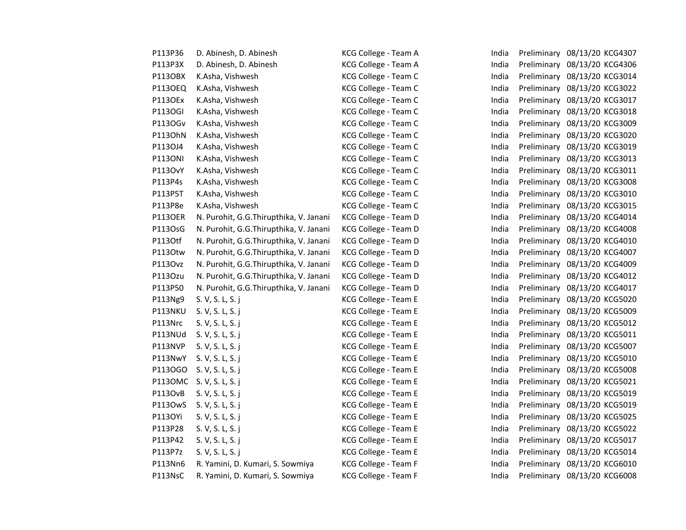| P113P36        | D. Abinesh, D. Abinesh                 | KCG College - Team A | India | Preliminary 08/13/20 KCG4307 |
|----------------|----------------------------------------|----------------------|-------|------------------------------|
| P113P3X        | D. Abinesh, D. Abinesh                 | KCG College - Team A | India | Preliminary 08/13/20 KCG4306 |
| P113OBX        | K.Asha, Vishwesh                       | KCG College - Team C | India | Preliminary 08/13/20 KCG3014 |
| <b>P113OEQ</b> | K.Asha, Vishwesh                       | KCG College - Team C | India | Preliminary 08/13/20 KCG3022 |
| P1130Ex        | K.Asha, Vishwesh                       | KCG College - Team C | India | Preliminary 08/13/20 KCG3017 |
| <b>P113OGI</b> | K.Asha, Vishwesh                       | KCG College - Team C | India | Preliminary 08/13/20 KCG3018 |
| P1130Gv        | K.Asha, Vishwesh                       | KCG College - Team C | India | Preliminary 08/13/20 KCG3009 |
| P1130hN        | K.Asha, Vishwesh                       | KCG College - Team C | India | Preliminary 08/13/20 KCG3020 |
| P113OJ4        | K.Asha, Vishwesh                       | KCG College - Team C | India | Preliminary 08/13/20 KCG3019 |
| <b>P113ONI</b> | K.Asha, Vishwesh                       | KCG College - Team C | India | Preliminary 08/13/20 KCG3013 |
| P113OvY        | K.Asha, Vishwesh                       | KCG College - Team C | India | Preliminary 08/13/20 KCG3011 |
| P113P4s        | K.Asha, Vishwesh                       | KCG College - Team C | India | Preliminary 08/13/20 KCG3008 |
| P113P5T        | K.Asha, Vishwesh                       | KCG College - Team C | India | Preliminary 08/13/20 KCG3010 |
| P113P8e        | K.Asha, Vishwesh                       | KCG College - Team C | India | Preliminary 08/13/20 KCG3015 |
| <b>P113OER</b> | N. Purohit, G.G.Thirupthika, V. Janani | KCG College - Team D | India | Preliminary 08/13/20 KCG4014 |
| P113OsG        | N. Purohit, G.G.Thirupthika, V. Janani | KCG College - Team D | India | Preliminary 08/13/20 KCG4008 |
| P113Otf        | N. Purohit, G.G.Thirupthika, V. Janani | KCG College - Team D | India | Preliminary 08/13/20 KCG4010 |
| P1130tw        | N. Purohit, G.G.Thirupthika, V. Janani | KCG College - Team D | India | Preliminary 08/13/20 KCG4007 |
| P113Ovz        | N. Purohit, G.G.Thirupthika, V. Janani | KCG College - Team D | India | Preliminary 08/13/20 KCG4009 |
| P113Ozu        | N. Purohit, G.G.Thirupthika, V. Janani | KCG College - Team D | India | Preliminary 08/13/20 KCG4012 |
| P113P50        | N. Purohit, G.G.Thirupthika, V. Janani | KCG College - Team D | India | Preliminary 08/13/20 KCG4017 |
| P113Ng9        | S. V, S. L, S. j                       | KCG College - Team E | India | Preliminary 08/13/20 KCG5020 |
| P113NKU        | S. V, S. L, S. j                       | KCG College - Team E | India | Preliminary 08/13/20 KCG5009 |
| P113Nrc        | S. V, S. L, S. j                       | KCG College - Team E | India | Preliminary 08/13/20 KCG5012 |
| P113NUd        | S. V, S. L, S. j                       | KCG College - Team E | India | Preliminary 08/13/20 KCG5011 |
| P113NVP        | S. V, S. L, S. j                       | KCG College - Team E | India | Preliminary 08/13/20 KCG5007 |
| P113NwY        | S. V, S. L, S. j                       | KCG College - Team E | India | Preliminary 08/13/20 KCG5010 |
| P1130GO        | S. V, S. L, S. j                       | KCG College - Team E | India | Preliminary 08/13/20 KCG5008 |
|                | P113OMC S. V, S. L, S. j               | KCG College - Team E | India | Preliminary 08/13/20 KCG5021 |
| <b>P113OvB</b> | S. V, S. L, S. j                       | KCG College - Team E | India | Preliminary 08/13/20 KCG5019 |
| P1130wS        | S. V, S. L, S. j                       | KCG College - Team E | India | Preliminary 08/13/20 KCG5019 |
| P113OYi        | S. V, S. L, S. j                       | KCG College - Team E | India | Preliminary 08/13/20 KCG5025 |
| P113P28        | S. V, S. L, S. j                       | KCG College - Team E | India | Preliminary 08/13/20 KCG5022 |
| P113P42        | S. V, S. L, S. j                       | KCG College - Team E | India | Preliminary 08/13/20 KCG5017 |
| P113P7z        | S. V, S. L, S. j                       | KCG College - Team E | India | Preliminary 08/13/20 KCG5014 |
| P113Nn6        | R. Yamini, D. Kumari, S. Sowmiya       | KCG College - Team F | India | Preliminary 08/13/20 KCG6010 |
| P113NsC        | R. Yamini, D. Kumari, S. Sowmiya       | KCG College - Team F | India | Preliminary 08/13/20 KCG6008 |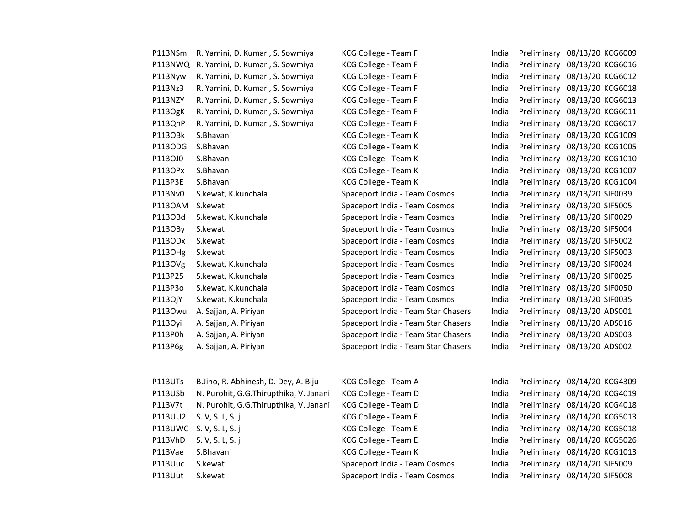| P113NSm | R. Yamini, D. Kumari, S. Sowmiya       | KCG College - Team F                | India | Preliminary 08/13/20 KCG6009 |
|---------|----------------------------------------|-------------------------------------|-------|------------------------------|
| P113NWQ | R. Yamini, D. Kumari, S. Sowmiya       | KCG College - Team F                | India | Preliminary 08/13/20 KCG6016 |
| P113Nyw | R. Yamini, D. Kumari, S. Sowmiya       | KCG College - Team F                | India | Preliminary 08/13/20 KCG6012 |
| P113Nz3 | R. Yamini, D. Kumari, S. Sowmiya       | KCG College - Team F                | India | Preliminary 08/13/20 KCG6018 |
| P113NZY | R. Yamini, D. Kumari, S. Sowmiya       | KCG College - Team F                | India | Preliminary 08/13/20 KCG6013 |
| P113OgK | R. Yamini, D. Kumari, S. Sowmiya       | KCG College - Team F                | India | Preliminary 08/13/20 KCG6011 |
| P113QhP | R. Yamini, D. Kumari, S. Sowmiya       | KCG College - Team F                | India | Preliminary 08/13/20 KCG6017 |
| P113OBk | S.Bhavani                              | KCG College - Team K                | India | Preliminary 08/13/20 KCG1009 |
| P1130DG | S.Bhavani                              | KCG College - Team K                | India | Preliminary 08/13/20 KCG1005 |
| P113OJ0 | S.Bhavani                              | KCG College - Team K                | India | Preliminary 08/13/20 KCG1010 |
| P113OPx | S.Bhavani                              | KCG College - Team K                | India | Preliminary 08/13/20 KCG1007 |
| P113P3E | S.Bhavani                              | KCG College - Team K                | India | Preliminary 08/13/20 KCG1004 |
| P113Nv0 | S.kewat, K.kunchala                    | Spaceport India - Team Cosmos       | India | Preliminary 08/13/20 SIF0039 |
| P1130AM | S.kewat                                | Spaceport India - Team Cosmos       | India | Preliminary 08/13/20 SIF5005 |
| P113OBd | S.kewat, K.kunchala                    | Spaceport India - Team Cosmos       | India | Preliminary 08/13/20 SIF0029 |
| P113OBy | S.kewat                                | Spaceport India - Team Cosmos       | India | Preliminary 08/13/20 SIF5004 |
| P113ODx | S.kewat                                | Spaceport India - Team Cosmos       | India | Preliminary 08/13/20 SIF5002 |
| P113OHg | S.kewat                                | Spaceport India - Team Cosmos       | India | Preliminary 08/13/20 SIF5003 |
| P113OVg | S.kewat, K.kunchala                    | Spaceport India - Team Cosmos       | India | Preliminary 08/13/20 SIF0024 |
| P113P25 | S.kewat, K.kunchala                    | Spaceport India - Team Cosmos       | India | Preliminary 08/13/20 SIF0025 |
| P113P3o | S.kewat, K.kunchala                    | Spaceport India - Team Cosmos       | India | Preliminary 08/13/20 SIF0050 |
| P113QjY | S.kewat, K.kunchala                    | Spaceport India - Team Cosmos       | India | Preliminary 08/13/20 SIF0035 |
| P1130wu | A. Sajjan, A. Piriyan                  | Spaceport India - Team Star Chasers | India | Preliminary 08/13/20 ADS001  |
| P113Oyi | A. Sajjan, A. Piriyan                  | Spaceport India - Team Star Chasers | India | Preliminary 08/13/20 ADS016  |
| P113P0h | A. Sajjan, A. Piriyan                  | Spaceport India - Team Star Chasers | India | Preliminary 08/13/20 ADS003  |
| P113P6g | A. Sajjan, A. Piriyan                  | Spaceport India - Team Star Chasers | India | Preliminary 08/13/20 ADS002  |
| P113UTs | B.Jino, R. Abhinesh, D. Dey, A. Biju   | KCG College - Team A                | India | Preliminary 08/14/20 KCG4309 |
| P113USb | N. Purohit, G.G.Thirupthika, V. Janani | KCG College - Team D                | India | Preliminary 08/14/20 KCG4019 |
| P113V7t | N. Purohit, G.G.Thirupthika, V. Janani | KCG College - Team D                | India | Preliminary 08/14/20 KCG4018 |
| P113UU2 | S. V, S. L, S. j                       | KCG College - Team E                | India | Preliminary 08/14/20 KCG5013 |
| P113UWC | S. V, S. L, S. j                       | KCG College - Team E                | India | Preliminary 08/14/20 KCG5018 |
| P113VhD | S. V, S. L, S. j                       | KCG College - Team E                | India | Preliminary 08/14/20 KCG5026 |
| P113Vae | S.Bhavani                              | KCG College - Team K                | India | Preliminary 08/14/20 KCG1013 |
| P113Uuc | S.kewat                                | Spaceport India - Team Cosmos       | India | Preliminary 08/14/20 SIF5009 |

P113Uuc S.kewat Spaceport India - Team Cosmos India Preliminary 08/14/20 SIF5009 P113Uut S.kewat Summary Spaceport India - Team Cosmos India Preliminary 08/14/20 SIF5008